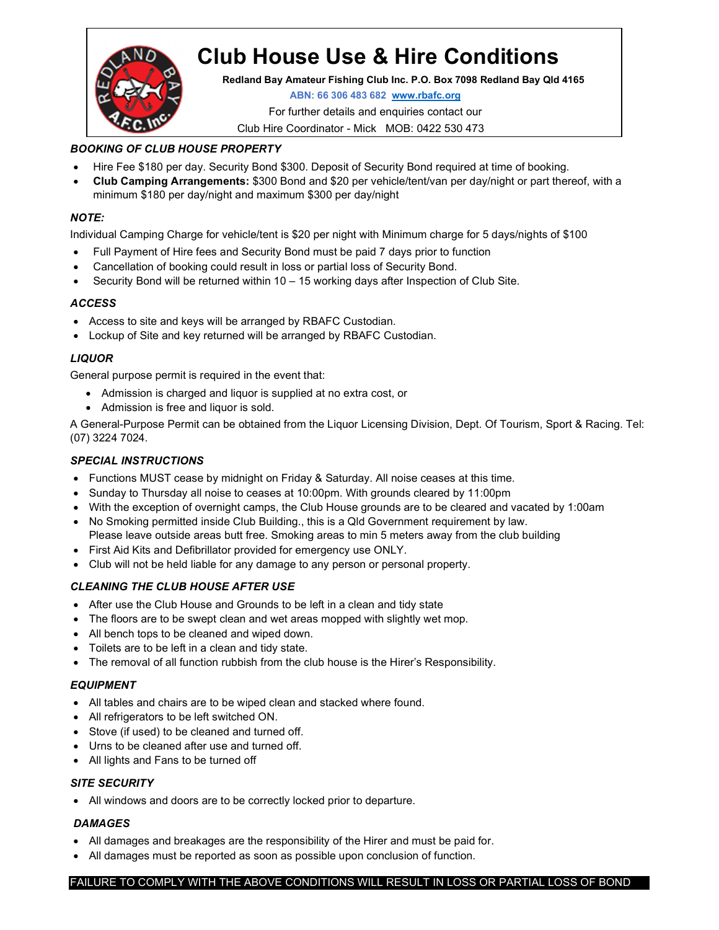

# Club House Use & Hire Conditions

Redland Bay Amateur Fishing Club Inc. P.O. Box 7098 Redland Bay Qld 4165

ABN: 66 306 483 682 www.rbafc.org

For further details and enquiries contact our

Club Hire Coordinator - Mick MOB: 0422 530 473

#### BOOKING OF CLUB HOUSE PROPERTY

- Hire Fee \$180 per day. Security Bond \$300. Deposit of Security Bond required at time of booking.
- Club Camping Arrangements: \$300 Bond and \$20 per vehicle/tent/van per day/night or part thereof, with a minimum \$180 per day/night and maximum \$300 per day/night

#### NOTE:

Individual Camping Charge for vehicle/tent is \$20 per night with Minimum charge for 5 days/nights of \$100

- Full Payment of Hire fees and Security Bond must be paid 7 days prior to function
- Cancellation of booking could result in loss or partial loss of Security Bond.
- Security Bond will be returned within 10 15 working days after Inspection of Club Site.

#### ACCESS

- Access to site and keys will be arranged by RBAFC Custodian.
- Lockup of Site and key returned will be arranged by RBAFC Custodian.

#### LIQUOR

General purpose permit is required in the event that:

- Admission is charged and liquor is supplied at no extra cost, or
- Admission is free and liquor is sold.

A General-Purpose Permit can be obtained from the Liquor Licensing Division, Dept. Of Tourism, Sport & Racing. Tel: (07) 3224 7024.

#### SPECIAL INSTRUCTIONS

- Functions MUST cease by midnight on Friday & Saturday. All noise ceases at this time.
- Sunday to Thursday all noise to ceases at 10:00pm. With grounds cleared by 11:00pm
- With the exception of overnight camps, the Club House grounds are to be cleared and vacated by 1:00am
- No Smoking permitted inside Club Building., this is a Qld Government requirement by law. Please leave outside areas butt free. Smoking areas to min 5 meters away from the club building
- First Aid Kits and Defibrillator provided for emergency use ONLY.
- Club will not be held liable for any damage to any person or personal property.

#### CLEANING THE CLUB HOUSE AFTER USE

- After use the Club House and Grounds to be left in a clean and tidy state
- The floors are to be swept clean and wet areas mopped with slightly wet mop.
- All bench tops to be cleaned and wiped down.
- Toilets are to be left in a clean and tidy state.
- The removal of all function rubbish from the club house is the Hirer's Responsibility.

#### EQUIPMENT

- All tables and chairs are to be wiped clean and stacked where found.
- All refrigerators to be left switched ON.
- Stove (if used) to be cleaned and turned off.
- Urns to be cleaned after use and turned off.
- All lights and Fans to be turned off

#### SITE SECURITY

All windows and doors are to be correctly locked prior to departure.

#### **DAMAGES**

- All damages and breakages are the responsibility of the Hirer and must be paid for.
- All damages must be reported as soon as possible upon conclusion of function.